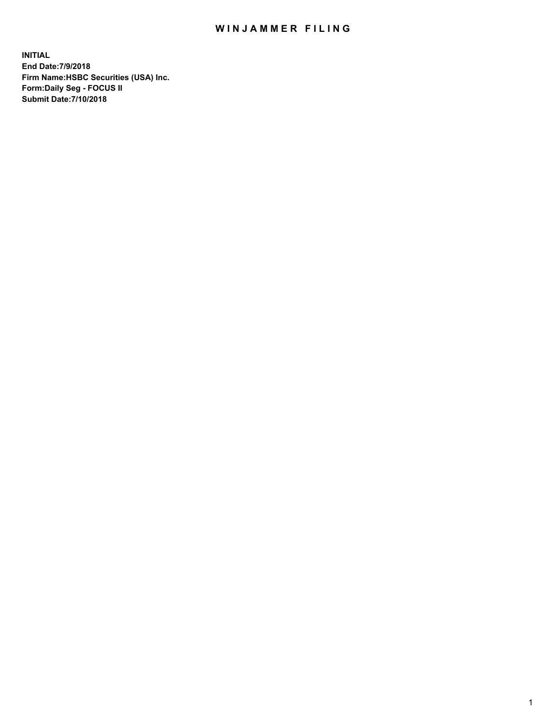## WIN JAMMER FILING

**INITIAL End Date:7/9/2018 Firm Name:HSBC Securities (USA) Inc. Form:Daily Seg - FOCUS II Submit Date:7/10/2018**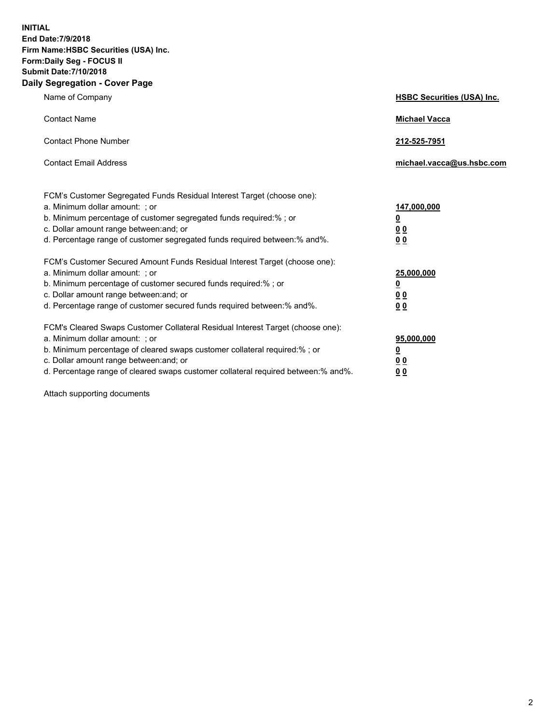**INITIAL End Date:7/9/2018 Firm Name:HSBC Securities (USA) Inc. Form:Daily Seg - FOCUS II Submit Date:7/10/2018 Daily Segregation - Cover Page**

| Name of Company                                                                                                                                                                                                                                                                                                                | <b>HSBC Securities (USA) Inc.</b>                                           |
|--------------------------------------------------------------------------------------------------------------------------------------------------------------------------------------------------------------------------------------------------------------------------------------------------------------------------------|-----------------------------------------------------------------------------|
| <b>Contact Name</b>                                                                                                                                                                                                                                                                                                            | <b>Michael Vacca</b>                                                        |
| <b>Contact Phone Number</b>                                                                                                                                                                                                                                                                                                    | 212-525-7951                                                                |
| <b>Contact Email Address</b>                                                                                                                                                                                                                                                                                                   | michael.vacca@us.hsbc.com                                                   |
| FCM's Customer Segregated Funds Residual Interest Target (choose one):<br>a. Minimum dollar amount: ; or<br>b. Minimum percentage of customer segregated funds required:% ; or<br>c. Dollar amount range between: and; or<br>d. Percentage range of customer segregated funds required between:% and%.                         | 147,000,000<br>$\underline{\mathbf{0}}$<br>0 <sub>0</sub><br>0 <sub>0</sub> |
| FCM's Customer Secured Amount Funds Residual Interest Target (choose one):<br>a. Minimum dollar amount: ; or<br>b. Minimum percentage of customer secured funds required:%; or<br>c. Dollar amount range between: and; or<br>d. Percentage range of customer secured funds required between:% and%.                            | 25,000,000<br>$\underline{\mathbf{0}}$<br>0 <sub>0</sub><br>00              |
| FCM's Cleared Swaps Customer Collateral Residual Interest Target (choose one):<br>a. Minimum dollar amount: ; or<br>b. Minimum percentage of cleared swaps customer collateral required:% ; or<br>c. Dollar amount range between: and; or<br>d. Percentage range of cleared swaps customer collateral required between:% and%. | 95,000,000<br><u>0</u><br><u>00</u><br>00                                   |

Attach supporting documents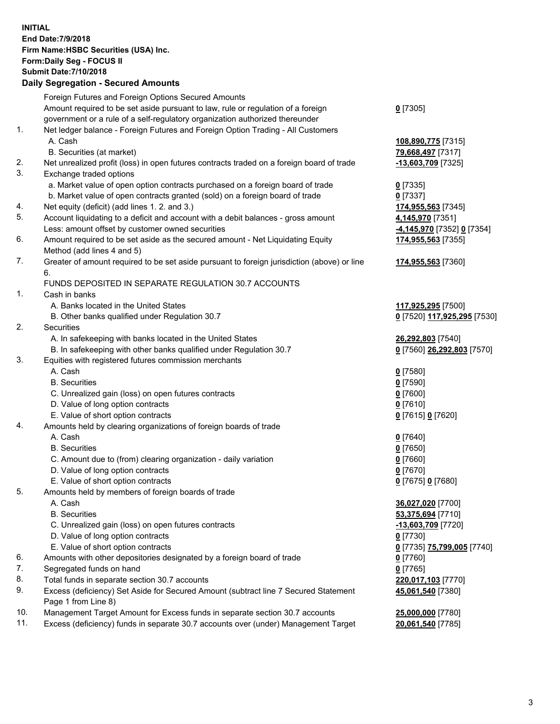**INITIAL End Date:7/9/2018 Firm Name:HSBC Securities (USA) Inc. Form:Daily Seg - FOCUS II Submit Date:7/10/2018 Daily Segregation - Secured Amounts**

Foreign Futures and Foreign Options Secured Amounts Amount required to be set aside pursuant to law, rule or regulation of a foreign government or a rule of a self-regulatory organization authorized thereunder **0** [7305] 1. Net ledger balance - Foreign Futures and Foreign Option Trading - All Customers A. Cash **108,890,775** [7315] B. Securities (at market) **79,668,497** [7317] 2. Net unrealized profit (loss) in open futures contracts traded on a foreign board of trade **-13,603,709** [7325] 3. Exchange traded options a. Market value of open option contracts purchased on a foreign board of trade **0** [7335] b. Market value of open contracts granted (sold) on a foreign board of trade **0** [7337] 4. Net equity (deficit) (add lines 1. 2. and 3.) **174,955,563** [7345] 5. Account liquidating to a deficit and account with a debit balances - gross amount **4,145,970** [7351] Less: amount offset by customer owned securities **-4,145,970** [7352] **0** [7354] 6. Amount required to be set aside as the secured amount - Net Liquidating Equity Method (add lines 4 and 5) **174,955,563** [7355] 7. Greater of amount required to be set aside pursuant to foreign jurisdiction (above) or line 6. **174,955,563** [7360] FUNDS DEPOSITED IN SEPARATE REGULATION 30.7 ACCOUNTS 1. Cash in banks A. Banks located in the United States **117,925,295** [7500] B. Other banks qualified under Regulation 30.7 **0** [7520] **117,925,295** [7530] 2. Securities A. In safekeeping with banks located in the United States **26,292,803** [7540] B. In safekeeping with other banks qualified under Regulation 30.7 **0** [7560] **26,292,803** [7570] 3. Equities with registered futures commission merchants A. Cash **0** [7580] B. Securities **0** [7590] C. Unrealized gain (loss) on open futures contracts **0** [7600] D. Value of long option contracts **0** [7610] E. Value of short option contracts **0** [7615] **0** [7620] 4. Amounts held by clearing organizations of foreign boards of trade A. Cash **0** [7640] B. Securities **0** [7650] C. Amount due to (from) clearing organization - daily variation **0** [7660] D. Value of long option contracts **0** [7670] E. Value of short option contracts **0** [7675] **0** [7680] 5. Amounts held by members of foreign boards of trade A. Cash **36,027,020** [7700] B. Securities **53,375,694** [7710] C. Unrealized gain (loss) on open futures contracts **-13,603,709** [7720] D. Value of long option contracts **0** [7730] E. Value of short option contracts **0** [7735] **75,799,005** [7740] 6. Amounts with other depositories designated by a foreign board of trade **0** [7760] 7. Segregated funds on hand **0** [7765] 8. Total funds in separate section 30.7 accounts **220,017,103** [7770] 9. Excess (deficiency) Set Aside for Secured Amount (subtract line 7 Secured Statement Page 1 from Line 8) **45,061,540** [7380] 10. Management Target Amount for Excess funds in separate section 30.7 accounts **25,000,000** [7780] 11. Excess (deficiency) funds in separate 30.7 accounts over (under) Management Target **20,061,540** [7785]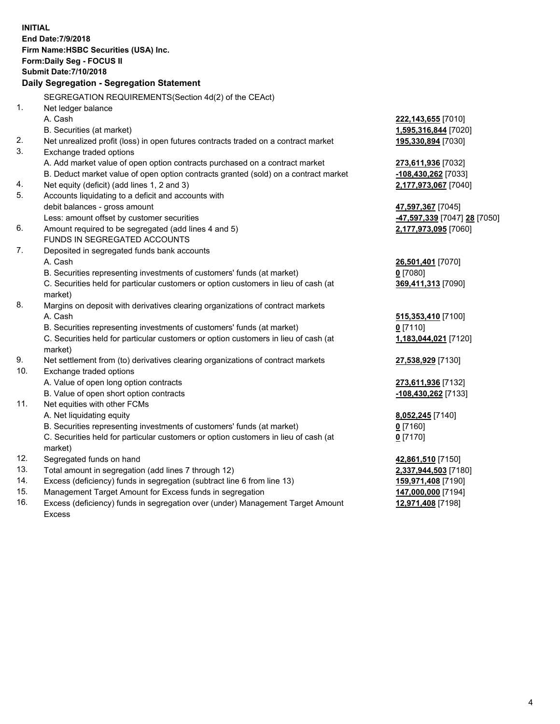|     | <b>INITIAL</b><br>End Date: 7/9/2018<br>Firm Name: HSBC Securities (USA) Inc.<br>Form: Daily Seg - FOCUS II<br><b>Submit Date: 7/10/2018</b><br>Daily Segregation - Segregation Statement |                                           |
|-----|-------------------------------------------------------------------------------------------------------------------------------------------------------------------------------------------|-------------------------------------------|
|     | SEGREGATION REQUIREMENTS(Section 4d(2) of the CEAct)                                                                                                                                      |                                           |
| 1.  | Net ledger balance                                                                                                                                                                        |                                           |
|     | A. Cash                                                                                                                                                                                   | 222,143,655 [7010]                        |
|     | B. Securities (at market)                                                                                                                                                                 | 1,595,316,844 [7020]                      |
| 2.  | Net unrealized profit (loss) in open futures contracts traded on a contract market                                                                                                        | 195,330,894 [7030]                        |
| 3.  | Exchange traded options                                                                                                                                                                   |                                           |
|     | A. Add market value of open option contracts purchased on a contract market                                                                                                               | 273,611,936 [7032]                        |
|     | B. Deduct market value of open option contracts granted (sold) on a contract market                                                                                                       | -108,430,262 [7033]                       |
| 4.  | Net equity (deficit) (add lines 1, 2 and 3)                                                                                                                                               | 2,177,973,067 [7040]                      |
| 5.  | Accounts liquidating to a deficit and accounts with                                                                                                                                       |                                           |
|     | debit balances - gross amount                                                                                                                                                             | 47,597,367 [7045]                         |
|     | Less: amount offset by customer securities                                                                                                                                                | <mark>-47,597,339</mark> [7047] 28 [7050] |
| 6.  | Amount required to be segregated (add lines 4 and 5)                                                                                                                                      | 2,177,973,095 [7060]                      |
|     | FUNDS IN SEGREGATED ACCOUNTS                                                                                                                                                              |                                           |
| 7.  | Deposited in segregated funds bank accounts                                                                                                                                               |                                           |
|     | A. Cash                                                                                                                                                                                   | 26,501,401 [7070]                         |
|     | B. Securities representing investments of customers' funds (at market)                                                                                                                    | $0$ [7080]                                |
|     | C. Securities held for particular customers or option customers in lieu of cash (at                                                                                                       | 369,411,313 [7090]                        |
|     | market)                                                                                                                                                                                   |                                           |
| 8.  | Margins on deposit with derivatives clearing organizations of contract markets                                                                                                            |                                           |
|     | A. Cash                                                                                                                                                                                   | 515,353,410 [7100]                        |
|     | B. Securities representing investments of customers' funds (at market)                                                                                                                    | $0$ [7110]                                |
|     | C. Securities held for particular customers or option customers in lieu of cash (at<br>market)                                                                                            | 1,183,044,021 [7120]                      |
| 9.  | Net settlement from (to) derivatives clearing organizations of contract markets                                                                                                           | 27,538,929 [7130]                         |
| 10. | Exchange traded options                                                                                                                                                                   |                                           |
|     | A. Value of open long option contracts                                                                                                                                                    | 273,611,936 [7132]                        |
|     | B. Value of open short option contracts                                                                                                                                                   | -108,430,262 [7133]                       |
| 11. | Net equities with other FCMs                                                                                                                                                              |                                           |
|     | A. Net liquidating equity                                                                                                                                                                 | 8,052,245 [7140]                          |
|     | B. Securities representing investments of customers' funds (at market)                                                                                                                    | $0$ [7160]                                |
|     | C. Securities held for particular customers or option customers in lieu of cash (at<br>market)                                                                                            | $0$ [7170]                                |
| 12. | Segregated funds on hand                                                                                                                                                                  | 42,861,510 [7150]                         |
| 13. | Total amount in segregation (add lines 7 through 12)                                                                                                                                      | 2,337,944,503 [7180]                      |
| 14. | Excess (deficiency) funds in segregation (subtract line 6 from line 13)                                                                                                                   | 159,971,408 [7190]                        |
| 15. | Management Target Amount for Excess funds in segregation                                                                                                                                  | 147,000,000 [7194]                        |
| 16. | Excess (deficiency) funds in segregation over (under) Management Target Amount                                                                                                            | 12,971,408 [7198]                         |

16. Excess (deficiency) funds in segregation over (under) Management Target Amount Excess